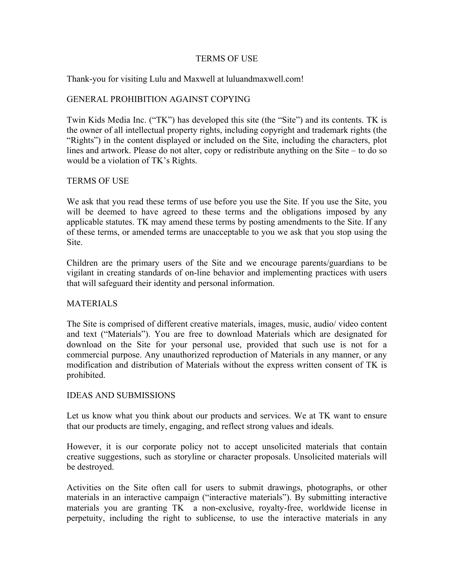#### TERMS OF USE

Thank-you for visiting Lulu and Maxwell at luluandmaxwell.com!

## GENERAL PROHIBITION AGAINST COPYING

Twin Kids Media Inc. ("TK") has developed this site (the "Site") and its contents. TK is the owner of all intellectual property rights, including copyright and trademark rights (the "Rights") in the content displayed or included on the Site, including the characters, plot lines and artwork. Please do not alter, copy or redistribute anything on the Site – to do so would be a violation of TK's Rights.

### TERMS OF USE

We ask that you read these terms of use before you use the Site. If you use the Site, you will be deemed to have agreed to these terms and the obligations imposed by any applicable statutes. TK may amend these terms by posting amendments to the Site. If any of these terms, or amended terms are unacceptable to you we ask that you stop using the Site.

Children are the primary users of the Site and we encourage parents/guardians to be vigilant in creating standards of on-line behavior and implementing practices with users that will safeguard their identity and personal information.

#### **MATERIALS**

The Site is comprised of different creative materials, images, music, audio/ video content and text ("Materials"). You are free to download Materials which are designated for download on the Site for your personal use, provided that such use is not for a commercial purpose. Any unauthorized reproduction of Materials in any manner, or any modification and distribution of Materials without the express written consent of TK is prohibited.

#### IDEAS AND SUBMISSIONS

Let us know what you think about our products and services. We at TK want to ensure that our products are timely, engaging, and reflect strong values and ideals.

However, it is our corporate policy not to accept unsolicited materials that contain creative suggestions, such as storyline or character proposals. Unsolicited materials will be destroyed.

Activities on the Site often call for users to submit drawings, photographs, or other materials in an interactive campaign ("interactive materials"). By submitting interactive materials you are granting TK a non-exclusive, royalty-free, worldwide license in perpetuity, including the right to sublicense, to use the interactive materials in any